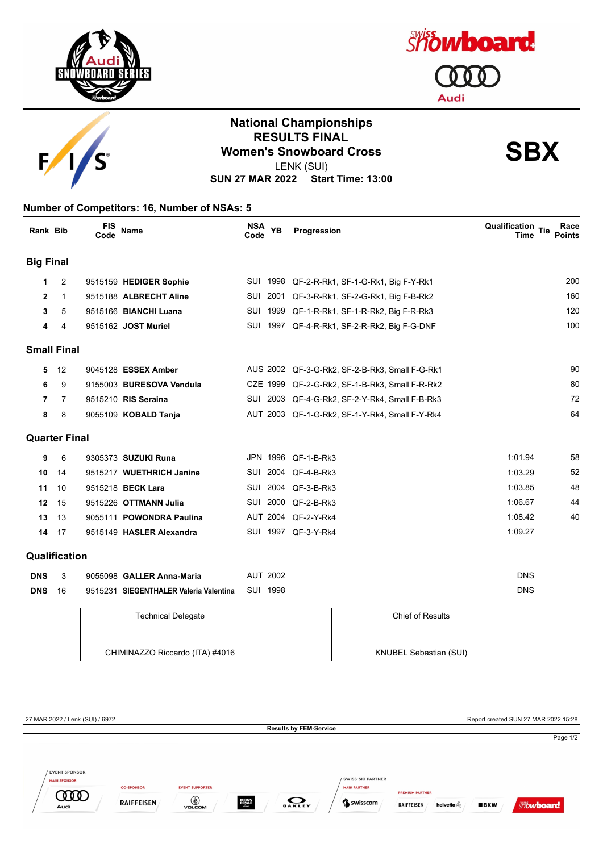





## **National Championships RESULTS FINAL<br>Women's Snowboard Cross**<br>
LENIX (SLII) LENK (SUI)

**SUN 27 MAR 2022 Start Time: 13:00**

## **Number of Competitors: 16, Number of NSAs: 5**

| <b>Rank Bib</b>      |    | <b>FIS</b><br>Code | <b>Name</b>              | NSA YB<br>Code  | Progression                                    | <b>Qualification Tie</b><br>Race<br><b>Points</b><br>Time |
|----------------------|----|--------------------|--------------------------|-----------------|------------------------------------------------|-----------------------------------------------------------|
| <b>Big Final</b>     |    |                    |                          |                 |                                                |                                                           |
| 1                    | 2  |                    | 9515159 HEDIGER Sophie   | SUI 1998        | QF-2-R-Rk1, SF-1-G-Rk1, Big F-Y-Rk1            | <b>200</b>                                                |
| $\mathbf{2}$         | 1  |                    | 9515188 ALBRECHT Aline   | SUI 2001        | QF-3-R-Rk1, SF-2-G-Rk1, Big F-B-Rk2            | 160                                                       |
| 3                    | 5  |                    | 9515166 BIANCHI Luana    | SUI 1999        | QF-1-R-Rk1, SF-1-R-Rk2, Big F-R-Rk3            | 120                                                       |
| 4                    | 4  |                    | 9515162 JOST Muriel      |                 | SUI 1997 QF-4-R-Rk1, SF-2-R-Rk2, Big F-G-DNF   | 10 <sub>C</sub>                                           |
| <b>Small Final</b>   |    |                    |                          |                 |                                                |                                                           |
| 5                    | 12 |                    | 9045128 ESSEX Amber      |                 | AUS 2002 QF-3-G-Rk2, SF-2-B-Rk3, Small F-G-Rk1 | 90                                                        |
| 6                    | 9  |                    | 9155003 BURESOVA Vendula | CZE 1999        | QF-2-G-Rk2, SF-1-B-Rk3, Small F-R-Rk2          | 80                                                        |
| 7                    | 7  |                    | 9515210 RIS Seraina      |                 | SUI 2003 QF-4-G-Rk2, SF-2-Y-Rk4, Small F-B-Rk3 | 72                                                        |
| 8                    | 8  |                    | 9055109 KOBALD Tanja     |                 | AUT 2003 QF-1-G-Rk2, SF-1-Y-Rk4, Small F-Y-Rk4 | 64                                                        |
| <b>Quarter Final</b> |    |                    |                          |                 |                                                |                                                           |
| 9                    | 6  |                    | 9305373 SUZUKI Runa      |                 | JPN 1996 QF-1-B-Rk3                            | 1:01.94<br>58                                             |
| 10                   | 14 |                    | 9515217 WUETHRICH Janine | SUI 2004        | QF-4-B-Rk3                                     | 52<br>1:03.29                                             |
| 11                   | 10 |                    | 9515218 BECK Lara        | 2004<br>SUI     | QF-3-B-Rk3                                     | 48<br>1:03.85                                             |
| 12                   | 15 |                    | 9515226 OTTMANN Julia    | 2000<br>SUI     | QF-2-B-Rk3                                     | 1:06.67<br>44                                             |
| 13                   | 13 |                    | 9055111 POWONDRA Paulina | <b>AUT 2004</b> | QF-2-Y-Rk4                                     | 1:08.42<br>40                                             |
| 14                   | 17 |                    | 9515149 HASLER Alexandra |                 | SUI 1997 QF-3-Y-Rk4                            | 1:09.27                                                   |
| Qualification        |    |                    |                          |                 |                                                |                                                           |

| <b>DNS</b> | 9055098 GALLER Anna-Maria                       | AUT 2002 | DNS |
|------------|-------------------------------------------------|----------|-----|
| DNS        | 9515231 SIEGENTHALER Valeria Valentina SUI 1998 |          | DNS |

Technical Delegate

CHIMINAZZO Riccardo (ITA) #4016



27 MAR 2022 / Lenk (SUI) / 6972 Report created SUN 27 MAR 2022 15:28 **Results by FEM-Service** Page 1/2 EVENT SPONSOR SWISS-SKI PARTNER **MAIN SPONSOR EVENT SUPPORTER CO-SPONSOR MAIN PARTNER COOD**  $\bigcirc$  volcom **MONS**<br>ROYALE  $\sum_{\mathbf{0} \text{ A} \text{ K} \text{ L} \text{ E} \text{Y}}$ **RAIFFEISEN** Swisscom RAIFFEISEN helvetia  $BKN$ **Showboard** Audi